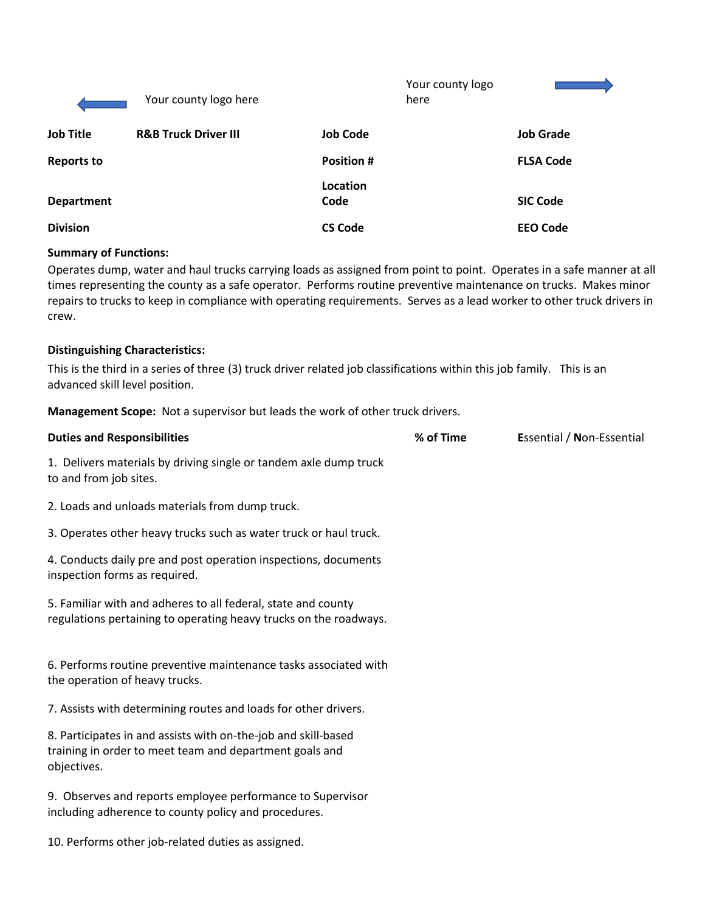|                   | Your county logo here           |                   | Your county logo<br>here |                  |
|-------------------|---------------------------------|-------------------|--------------------------|------------------|
| <b>Job Title</b>  | <b>R&amp;B Truck Driver III</b> | <b>Job Code</b>   |                          | <b>Job Grade</b> |
| <b>Reports to</b> |                                 | <b>Position #</b> |                          | <b>FLSA Code</b> |
| <b>Department</b> |                                 | Location<br>Code  |                          | <b>SIC Code</b>  |
| <b>Division</b>   |                                 | <b>CS Code</b>    |                          | <b>EEO Code</b>  |

### **Summary of Functions:**

Operates dump, water and haul trucks carrying loads as assigned from point to point. Operates in a safe manner at all times representing the county as a safe operator. Performs routine preventive maintenance on trucks. Makes minor repairs to trucks to keep in compliance with operating requirements. Serves as a lead worker to other truck drivers in crew.

#### **Distinguishing Characteristics:**

This is the third in a series of three (3) truck driver related job classifications within this job family. This is an advanced skill level position.

**Management Scope:** Not a supervisor but leads the work of other truck drivers.

| <b>Duties and Responsibilities</b>                                                                                                       | % of Time | <b>Essential / Non-Essential</b> |
|------------------------------------------------------------------------------------------------------------------------------------------|-----------|----------------------------------|
| 1. Delivers materials by driving single or tandem axle dump truck<br>to and from job sites.                                              |           |                                  |
| 2. Loads and unloads materials from dump truck.                                                                                          |           |                                  |
| 3. Operates other heavy trucks such as water truck or haul truck.                                                                        |           |                                  |
| 4. Conducts daily pre and post operation inspections, documents<br>inspection forms as required.                                         |           |                                  |
| 5. Familiar with and adheres to all federal, state and county<br>regulations pertaining to operating heavy trucks on the roadways.       |           |                                  |
| 6. Performs routine preventive maintenance tasks associated with<br>the operation of heavy trucks.                                       |           |                                  |
| 7. Assists with determining routes and loads for other drivers.                                                                          |           |                                  |
| 8. Participates in and assists with on-the-job and skill-based<br>training in order to meet team and department goals and<br>objectives. |           |                                  |
| 9. Observes and reports employee performance to Supervisor<br>including adherence to county policy and procedures.                       |           |                                  |
| 10. Performs other job-related duties as assigned.                                                                                       |           |                                  |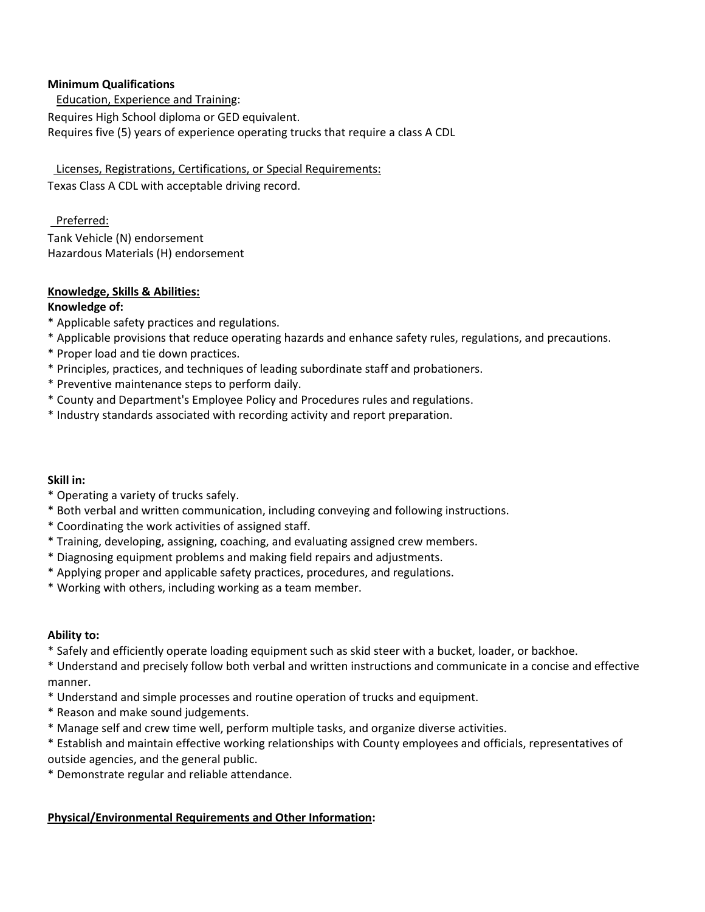### **Minimum Qualifications**

 Education, Experience and Training: Requires High School diploma or GED equivalent. Requires five (5) years of experience operating trucks that require a class A CDL

 Licenses, Registrations, Certifications, or Special Requirements: Texas Class A CDL with acceptable driving record.

# Preferred:

Tank Vehicle (N) endorsement Hazardous Materials (H) endorsement

## **Knowledge, Skills & Abilities:**

## **Knowledge of:**

- \* Applicable safety practices and regulations.
- \* Applicable provisions that reduce operating hazards and enhance safety rules, regulations, and precautions.
- \* Proper load and tie down practices.
- \* Principles, practices, and techniques of leading subordinate staff and probationers.
- \* Preventive maintenance steps to perform daily.
- \* County and Department's Employee Policy and Procedures rules and regulations.
- \* Industry standards associated with recording activity and report preparation.

### **Skill in:**

- \* Operating a variety of trucks safely.
- \* Both verbal and written communication, including conveying and following instructions.
- \* Coordinating the work activities of assigned staff.
- \* Training, developing, assigning, coaching, and evaluating assigned crew members.
- \* Diagnosing equipment problems and making field repairs and adjustments.
- \* Applying proper and applicable safety practices, procedures, and regulations.
- \* Working with others, including working as a team member.

### **Ability to:**

\* Safely and efficiently operate loading equipment such as skid steer with a bucket, loader, or backhoe.

\* Understand and precisely follow both verbal and written instructions and communicate in a concise and effective manner.

- \* Understand and simple processes and routine operation of trucks and equipment.
- \* Reason and make sound judgements.
- \* Manage self and crew time well, perform multiple tasks, and organize diverse activities.
- \* Establish and maintain effective working relationships with County employees and officials, representatives of outside agencies, and the general public.
- \* Demonstrate regular and reliable attendance.

# **Physical/Environmental Requirements and Other Information:**